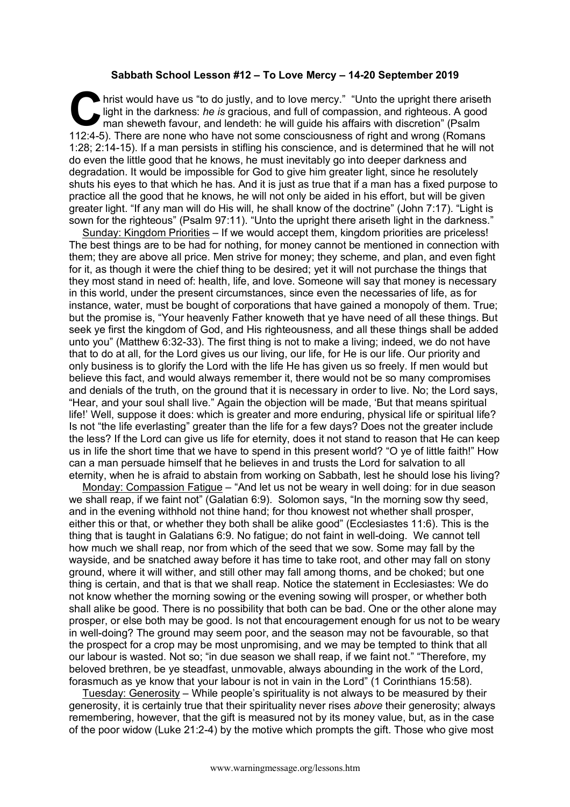## **Sabbath School Lesson #12 – To Love Mercy – 14-20 September 2019**

hrist would have us "to do justly, and to love mercy." "Unto the upright there ariseth light in the darkness: *he is* gracious, and full of compassion, and righteous. A good man sheweth favour, and lendeth: he will guide h light in the darkness: *he is* gracious, and full of compassion, and righteous. A good man sheweth favour, and lendeth: he will guide his affairs with discretion" (Psalm 112:4-5). There are none who have not some consciousness of right and wrong (Romans 1:28; 2:14-15). If a man persists in stifling his conscience, and is determined that he will not do even the little good that he knows, he must inevitably go into deeper darkness and degradation. It would be impossible for God to give him greater light, since he resolutely shuts his eyes to that which he has. And it is just as true that if a man has a fixed purpose to practice all the good that he knows, he will not only be aided in his effort, but will be given greater light. "If any man will do His will, he shall know of the doctrine" (John 7:17). "Light is sown for the righteous" (Psalm 97:11). "Unto the upright there ariseth light in the darkness."

Sunday: Kingdom Priorities – If we would accept them, kingdom priorities are priceless! The best things are to be had for nothing, for money cannot be mentioned in connection with them; they are above all price. Men strive for money; they scheme, and plan, and even fight for it, as though it were the chief thing to be desired; yet it will not purchase the things that they most stand in need of: health, life, and love. Someone will say that money is necessary in this world, under the present circumstances, since even the necessaries of life, as for instance, water, must be bought of corporations that have gained a monopoly of them. True; but the promise is, "Your heavenly Father knoweth that ye have need of all these things. But seek ye first the kingdom of God, and His righteousness, and all these things shall be added unto you" (Matthew 6:32-33). The first thing is not to make a living; indeed, we do not have that to do at all, for the Lord gives us our living, our life, for He is our life. Our priority and only business is to glorify the Lord with the life He has given us so freely. If men would but believe this fact, and would always remember it, there would not be so many compromises and denials of the truth, on the ground that it is necessary in order to live. No; the Lord says, "Hear, and your soul shall live." Again the objection will be made, 'But that means spiritual life!' Well, suppose it does: which is greater and more enduring, physical life or spiritual life? Is not "the life everlasting" greater than the life for a few days? Does not the greater include the less? If the Lord can give us life for eternity, does it not stand to reason that He can keep us in life the short time that we have to spend in this present world? "O ye of little faith!" How can a man persuade himself that he believes in and trusts the Lord for salvation to all eternity, when he is afraid to abstain from working on Sabbath, lest he should lose his living?

Monday: Compassion Fatigue – "And let us not be weary in well doing: for in due season we shall reap, if we faint not" (Galatian 6:9). Solomon says, "In the morning sow thy seed, and in the evening withhold not thine hand; for thou knowest not whether shall prosper, either this or that, or whether they both shall be alike good" (Ecclesiastes 11:6). This is the thing that is taught in Galatians 6:9. No fatigue; do not faint in well-doing. We cannot tell how much we shall reap, nor from which of the seed that we sow. Some may fall by the wayside, and be snatched away before it has time to take root, and other may fall on stony ground, where it will wither, and still other may fall among thorns, and be choked; but one thing is certain, and that is that we shall reap. Notice the statement in Ecclesiastes: We do not know whether the morning sowing or the evening sowing will prosper, or whether both shall alike be good. There is no possibility that both can be bad. One or the other alone may prosper, or else both may be good. Is not that encouragement enough for us not to be weary in well-doing? The ground may seem poor, and the season may not be favourable, so that the prospect for a crop may be most unpromising, and we may be tempted to think that all our labour is wasted. Not so; "in due season we shall reap, if we faint not." "Therefore, my beloved brethren, be ye steadfast, unmovable, always abounding in the work of the Lord, forasmuch as ye know that your labour is not in vain in the Lord" (1 Corinthians 15:58).

Tuesday: Generosity – While people's spirituality is not always to be measured by their generosity, it is certainly true that their spirituality never rises *above* their generosity; always remembering, however, that the gift is measured not by its money value, but, as in the case of the poor widow (Luke 21:2-4) by the motive which prompts the gift. Those who give most